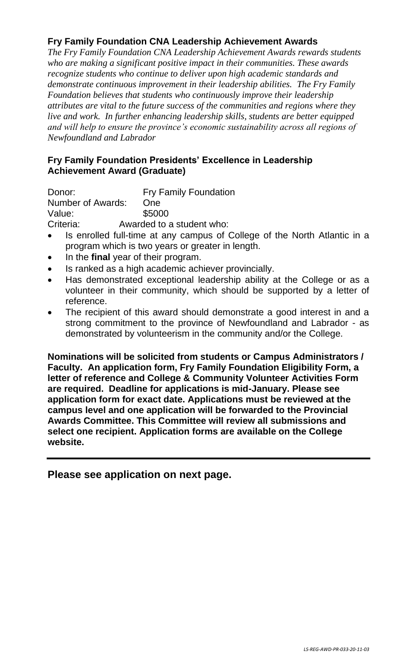## **Fry Family Foundation CNA Leadership Achievement Awards**

*The Fry Family Foundation CNA Leadership Achievement Awards rewards students who are making a significant positive impact in their communities. These awards recognize students who continue to deliver upon high academic standards and demonstrate continuous improvement in their leadership abilities. The Fry Family Foundation believes that students who continuously improve their leadership attributes are vital to the future success of the communities and regions where they live and work. In further enhancing leadership skills, students are better equipped and will help to ensure the province's economic sustainability across all regions of Newfoundland and Labrador*

### **Fry Family Foundation Presidents' Excellence in Leadership Achievement Award (Graduate)**

Donor: Fry Family Foundation Number of Awards: One Value: \$5000 Criteria: Awarded to a student who:

- Is enrolled full-time at any campus of College of the North Atlantic in a program which is two years or greater in length.
- In the **final** year of their program.
- Is ranked as a high academic achiever provincially.
- Has demonstrated exceptional leadership ability at the College or as a volunteer in their community, which should be supported by a letter of reference.
- The recipient of this award should demonstrate a good interest in and a strong commitment to the province of Newfoundland and Labrador - as demonstrated by volunteerism in the community and/or the College.

**Nominations will be solicited from students or Campus Administrators / Faculty. An application form, Fry Family Foundation Eligibility Form, a letter of reference and College & Community Volunteer Activities Form are required. Deadline for applications is mid-January. Please see application form for exact date. Applications must be reviewed at the campus level and one application will be forwarded to the Provincial Awards Committee. This Committee will review all submissions and select one recipient. Application forms are available on the College website.**

**Please see application on next page.**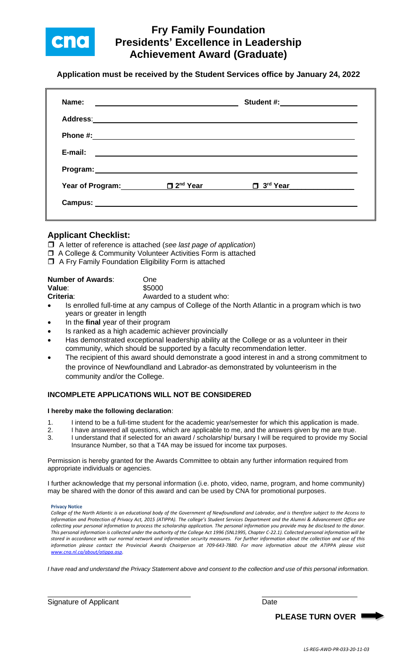

## **Fry Family Foundation Presidents' Excellence in Leadership Achievement Award (Graduate)**

**Application must be received by the Student Services office by January 24, 2022**

| Name:                                                                                               | <u> 1989 - Johann John Stone, markin fan it ferstjer fan de ferstjer fan it ferstjer fan it ferstjer fan it fers</u> | Student #: ___________________ |  |
|-----------------------------------------------------------------------------------------------------|----------------------------------------------------------------------------------------------------------------------|--------------------------------|--|
| Address: Andreas Address: Address: Address: Address: Address: Address: Address: Address: Address: A |                                                                                                                      |                                |  |
| Phone #:                                                                                            |                                                                                                                      |                                |  |
| E-mail:                                                                                             |                                                                                                                      |                                |  |
|                                                                                                     |                                                                                                                      |                                |  |
| <b>Year of Program:</b>                                                                             | $\square$ 2 <sup>nd</sup> Year                                                                                       | $\Box$ 3 <sup>rd</sup> Year    |  |
|                                                                                                     |                                                                                                                      |                                |  |

#### **Applicant Checklist:**

- A letter of reference is attached (*see last page of application*)
- □ A College & Community Volunteer Activities Form is attached
- $\Box$  A Fry Family Foundation Eligibility Form is attached

| <b>Number of Awards:</b> | One.                      |
|--------------------------|---------------------------|
| Value:                   | \$5000                    |
| Criteria:                | Awarded to a student who: |

- Is enrolled full-time at any campus of College of the North Atlantic in a program which is two years or greater in length
- In the **final** year of their program
- Is ranked as a high academic achiever provincially
- Has demonstrated exceptional leadership ability at the College or as a volunteer in their community, which should be supported by a faculty recommendation letter.
- The recipient of this award should demonstrate a good interest in and a strong commitment to the province of Newfoundland and Labrador-as demonstrated by volunteerism in the community and/or the College.

#### **INCOMPLETE APPLICATIONS WILL NOT BE CONSIDERED**

#### **I hereby make the following declaration**:

- 1. I intend to be a full-time student for the academic year/semester for which this application is made.
- 2. I have answered all questions, which are applicable to me, and the answers given by me are true.
- 3. I understand that if selected for an award / scholarship/ bursary I will be required to provide my Social Insurance Number, so that a T4A may be issued for income tax purposes.

Permission is hereby granted for the Awards Committee to obtain any further information required from appropriate individuals or agencies.

I further acknowledge that my personal information (i.e. photo, video, name, program, and home community) may be shared with the donor of this award and can be used by CNA for promotional purposes.

**Privacy Notice** 

*College of the North Atlantic is an educational body of the Government of Newfoundland and Labrador, and is therefore subject to the Access to Information and Protection of Privacy Act, 2015 (ATIPPA). The college's Student Services Department and the Alumni & Advancement Office are collecting your personal information to process the scholarship application. The personal information you provide may be disclosed to the donor. This personal information is collected under the authority of the College Act 1996 (SNL1995, Chapter C-22.1). Collected personal information will be stored in accordance with our normal network and information security measures. For further information about the collection and use of this information please contact the Provincial Awards Chairperson at 709-643-7880. For more information about the ATIPPA please visit [www.cna.nl.ca/about/atippa.asp.](http://www.cna.nl.ca/about/atippa.asp)*

*I have read and understand the Privacy Statement above and consent to the collection and use of this personal information.*

Signature of Applicant Date Date Date Date

**PLEASE TURN OVER**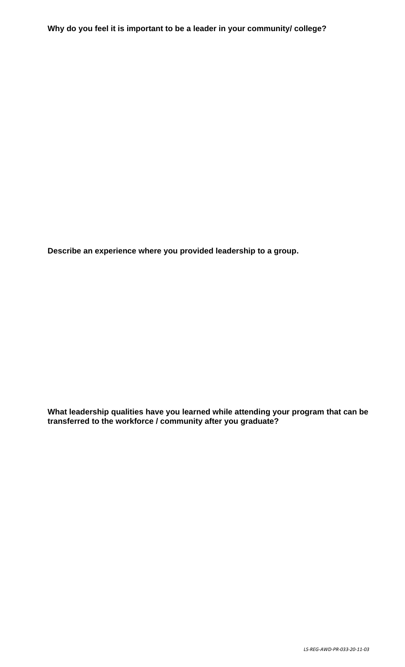**Describe an experience where you provided leadership to a group.**

**What leadership qualities have you learned while attending your program that can be transferred to the workforce / community after you graduate?**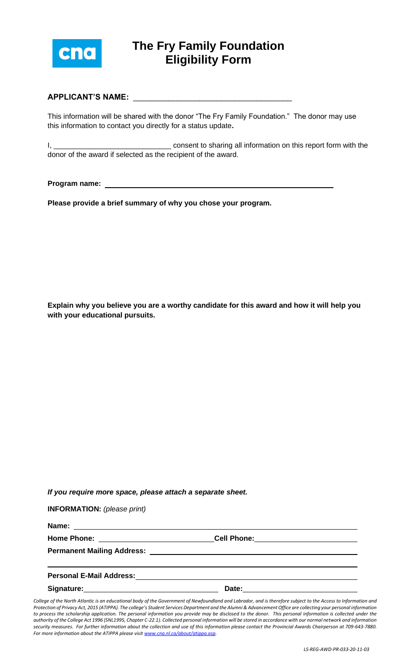

# **The Fry Family Foundation Eligibility Form**

#### **APPLICANT'S NAME:** \_\_\_\_\_\_\_\_\_\_\_\_\_\_\_\_\_\_\_\_\_\_\_\_\_\_\_\_\_\_\_\_\_\_\_\_

This information will be shared with the donor "The Fry Family Foundation." The donor may use this information to contact you directly for a status update**.**

I, \_\_\_\_\_\_\_\_\_\_\_\_\_\_\_\_\_\_\_\_\_\_\_\_\_\_\_\_\_ consent to sharing all information on this report form with the donor of the award if selected as the recipient of the award.

**Program name:** 

**Please provide a brief summary of why you chose your program.**

**Explain why you believe you are a worthy candidate for this award and how it will help you with your educational pursuits.**

|  | If you require more space, please attach a separate sheet. |
|--|------------------------------------------------------------|
|--|------------------------------------------------------------|

**INFORMATION:** *(please print)*

**Name:** 

**Home Phone: Cell Phone:**

**Permanent Mailing Address:** 

| <b>Personal E-Mail Address:</b> |  |
|---------------------------------|--|
|                                 |  |

Signature: Date:

*College of the North Atlantic is an educational body of the Government of Newfoundland and Labrador, and is therefore subject to the Access to Information and Protection of Privacy Act, 2015 (ATIPPA). The college's Student Services Department and the Alumni & Advancement Office are collecting your personal information*  to process the scholarship application. The personal information you provide may be disclosed to the donor. This personal information is collected under the *authority of the College Act 1996 (SNL1995, Chapter C-22.1). Collected personal information will be stored in accordance with our normal network and information security measures. For further information about the collection and use of this information please contact the Provincial Awards Chairperson at 709-643-7880. For more information about the ATIPPA please visi[t www.cna.nl.ca/about/atippa.asp.](http://www.cna.nl.ca/about/atippa.asp)*